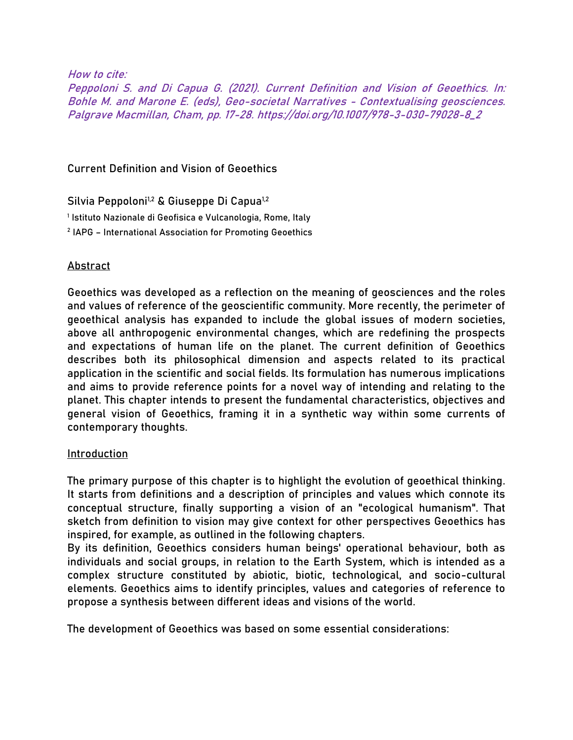How to cite:

Peppoloni S. and Di Capua G. (2021). Current Definition and Vision of Geoethics. In: Bohle M. and Marone E. (eds), Geo-societal Narratives - Contextualising geosciences. Palgrave Macmillan, Cham, pp. 17-28. https://doi.org/10.1007/978-3-030-79028-8\_2

Current Definition and Vision of Geoethics

Silvia Peppoloni<sup>1,2</sup> & Giuseppe Di Capua<sup>1,2</sup> 1 Istituto Nazionale di Geofisica e Vulcanologia, Rome, Italy 2 IAPG – International Association for Promoting Geoethics

# Abstract

Geoethics was developed as a reflection on the meaning of geosciences and the roles and values of reference of the geoscientific community. More recently, the perimeter of geoethical analysis has expanded to include the global issues of modern societies, above all anthropogenic environmental changes, which are redefining the prospects and expectations of human life on the planet. The current definition of Geoethics describes both its philosophical dimension and aspects related to its practical application in the scientific and social fields. Its formulation has numerous implications and aims to provide reference points for a novel way of intending and relating to the planet. This chapter intends to present the fundamental characteristics, objectives and general vision of Geoethics, framing it in a synthetic way within some currents of contemporary thoughts.

# Introduction

The primary purpose of this chapter is to highlight the evolution of geoethical thinking. It starts from definitions and a description of principles and values which connote its conceptual structure, finally supporting a vision of an "ecological humanism". That sketch from definition to vision may give context for other perspectives Geoethics has inspired, for example, as outlined in the following chapters.

By its definition, Geoethics considers human beings' operational behaviour, both as individuals and social groups, in relation to the Earth System, which is intended as a complex structure constituted by abiotic, biotic, technological, and socio-cultural elements. Geoethics aims to identify principles, values and categories of reference to propose a synthesis between different ideas and visions of the world.

The development of Geoethics was based on some essential considerations: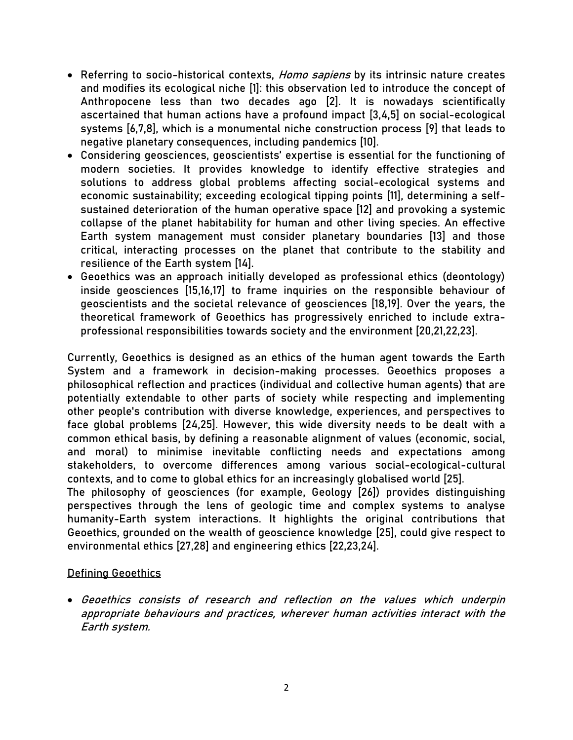- Referring to socio-historical contexts, *Homo sapiens* by its intrinsic nature creates and modifies its ecological niche [1]: this observation led to introduce the concept of Anthropocene less than two decades ago [2]. It is nowadays scientifically ascertained that human actions have a profound impact [3,4,5] on social-ecological systems [6,7,8], which is a monumental niche construction process [9] that leads to negative planetary consequences, including pandemics [10].
- Considering geosciences, geoscientists' expertise is essential for the functioning of modern societies. It provides knowledge to identify effective strategies and solutions to address global problems affecting social-ecological systems and economic sustainability; exceeding ecological tipping points [11], determining a selfsustained deterioration of the human operative space [12] and provoking a systemic collapse of the planet habitability for human and other living species. An effective Earth system management must consider planetary boundaries [13] and those critical, interacting processes on the planet that contribute to the stability and resilience of the Earth system [14].
- Geoethics was an approach initially developed as professional ethics (deontology) inside geosciences [15,16,17] to frame inquiries on the responsible behaviour of geoscientists and the societal relevance of geosciences [18,19]. Over the years, the theoretical framework of Geoethics has progressively enriched to include extraprofessional responsibilities towards society and the environment [20,21,22,23].

Currently, Geoethics is designed as an ethics of the human agent towards the Earth System and a framework in decision-making processes. Geoethics proposes a philosophical reflection and practices (individual and collective human agents) that are potentially extendable to other parts of society while respecting and implementing other people's contribution with diverse knowledge, experiences, and perspectives to face global problems [24,25]. However, this wide diversity needs to be dealt with a common ethical basis, by defining a reasonable alignment of values (economic, social, and moral) to minimise inevitable conflicting needs and expectations among stakeholders, to overcome differences among various social-ecological-cultural contexts, and to come to global ethics for an increasingly globalised world [25].

The philosophy of geosciences (for example, Geology [26]) provides distinguishing perspectives through the lens of geologic time and complex systems to analyse humanity-Earth system interactions. It highlights the original contributions that Geoethics, grounded on the wealth of geoscience knowledge [25], could give respect to environmental ethics [27,28] and engineering ethics [22,23,24].

# Defining Geoethics

 Geoethics consists of research and reflection on the values which underpin appropriate behaviours and practices, wherever human activities interact with the Earth system.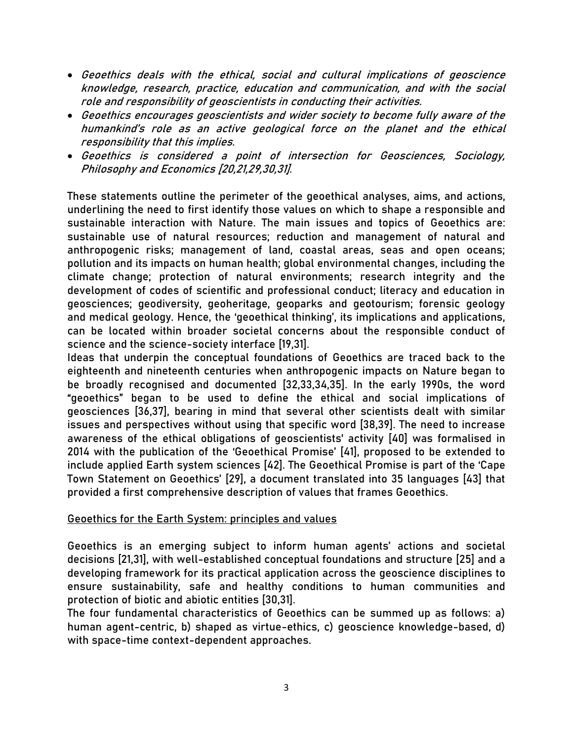- Geoethics deals with the ethical, social and cultural implications of geoscience knowledge, research, practice, education and communication, and with the social role and responsibility of geoscientists in conducting their activities.
- Geoethics encourages geoscientists and wider society to become fully aware of the humankind's role as an active geological force on the planet and the ethical responsibility that this implies.
- Geoethics is considered a point of intersection for Geosciences, Sociology, Philosophy and Economics [20,21,29,30,31].

These statements outline the perimeter of the geoethical analyses, aims, and actions, underlining the need to first identify those values on which to shape a responsible and sustainable interaction with Nature. The main issues and topics of Geoethics are: sustainable use of natural resources; reduction and management of natural and anthropogenic risks; management of land, coastal areas, seas and open oceans; pollution and its impacts on human health; global environmental changes, including the climate change; protection of natural environments; research integrity and the development of codes of scientific and professional conduct; literacy and education in geosciences; geodiversity, geoheritage, geoparks and geotourism; forensic geology and medical geology. Hence, the 'geoethical thinking', its implications and applications, can be located within broader societal concerns about the responsible conduct of science and the science-society interface [19,31].

Ideas that underpin the conceptual foundations of Geoethics are traced back to the eighteenth and nineteenth centuries when anthropogenic impacts on Nature began to be broadly recognised and documented [32,33,34,35]. In the early 1990s, the word "geoethics" began to be used to define the ethical and social implications of geosciences [36,37], bearing in mind that several other scientists dealt with similar issues and perspectives without using that specific word [38,39]. The need to increase awareness of the ethical obligations of geoscientists' activity [40] was formalised in 2014 with the publication of the 'Geoethical Promise' [41], proposed to be extended to include applied Earth system sciences [42]. The Geoethical Promise is part of the 'Cape Town Statement on Geoethics' [29], a document translated into 35 languages [43] that provided a first comprehensive description of values that frames Geoethics.

# Geoethics for the Earth System: principles and values

Geoethics is an emerging subject to inform human agents' actions and societal decisions [21,31], with well-established conceptual foundations and structure [25] and a developing framework for its practical application across the geoscience disciplines to ensure sustainability, safe and healthy conditions to human communities and protection of biotic and abiotic entities [30,31].

The four fundamental characteristics of Geoethics can be summed up as follows: a) human agent-centric, b) shaped as virtue-ethics, c) geoscience knowledge-based, d) with space-time context-dependent approaches.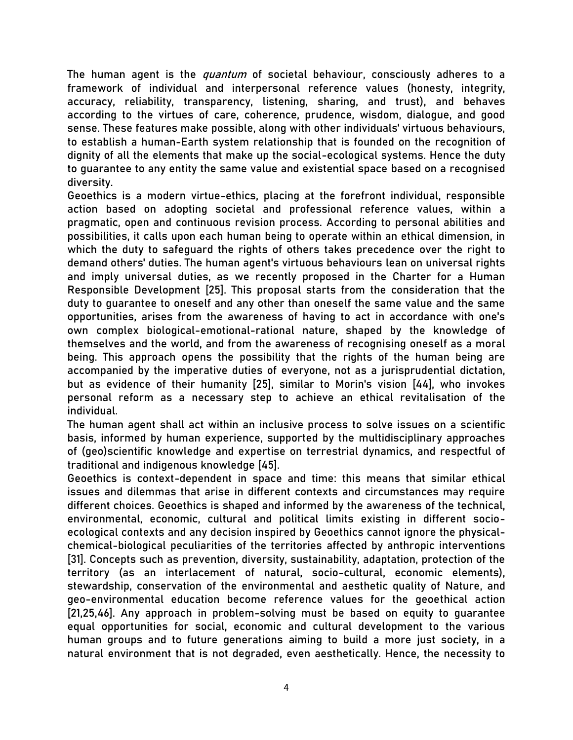The human agent is the *quantum* of societal behaviour, consciously adheres to a framework of individual and interpersonal reference values (honesty, integrity, accuracy, reliability, transparency, listening, sharing, and trust), and behaves according to the virtues of care, coherence, prudence, wisdom, dialogue, and good sense. These features make possible, along with other individuals' virtuous behaviours, to establish a human-Earth system relationship that is founded on the recognition of dignity of all the elements that make up the social-ecological systems. Hence the duty to guarantee to any entity the same value and existential space based on a recognised diversity.

Geoethics is a modern virtue-ethics, placing at the forefront individual, responsible action based on adopting societal and professional reference values, within a pragmatic, open and continuous revision process. According to personal abilities and possibilities, it calls upon each human being to operate within an ethical dimension, in which the duty to safeguard the rights of others takes precedence over the right to demand others' duties. The human agent's virtuous behaviours lean on universal rights and imply universal duties, as we recently proposed in the Charter for a Human Responsible Development [25]. This proposal starts from the consideration that the duty to guarantee to oneself and any other than oneself the same value and the same opportunities, arises from the awareness of having to act in accordance with one's own complex biological-emotional-rational nature, shaped by the knowledge of themselves and the world, and from the awareness of recognising oneself as a moral being. This approach opens the possibility that the rights of the human being are accompanied by the imperative duties of everyone, not as a jurisprudential dictation, but as evidence of their humanity [25], similar to Morin's vision [44], who invokes personal reform as a necessary step to achieve an ethical revitalisation of the individual.

The human agent shall act within an inclusive process to solve issues on a scientific basis, informed by human experience, supported by the multidisciplinary approaches of (geo)scientific knowledge and expertise on terrestrial dynamics, and respectful of traditional and indigenous knowledge [45].

Geoethics is context-dependent in space and time: this means that similar ethical issues and dilemmas that arise in different contexts and circumstances may require different choices. Geoethics is shaped and informed by the awareness of the technical, environmental, economic, cultural and political limits existing in different socioecological contexts and any decision inspired by Geoethics cannot ignore the physicalchemical-biological peculiarities of the territories affected by anthropic interventions [31]. Concepts such as prevention, diversity, sustainability, adaptation, protection of the territory (as an interlacement of natural, socio-cultural, economic elements), stewardship, conservation of the environmental and aesthetic quality of Nature, and geo-environmental education become reference values for the geoethical action [21,25,46]. Any approach in problem-solving must be based on equity to guarantee equal opportunities for social, economic and cultural development to the various human groups and to future generations aiming to build a more just society, in a natural environment that is not degraded, even aesthetically. Hence, the necessity to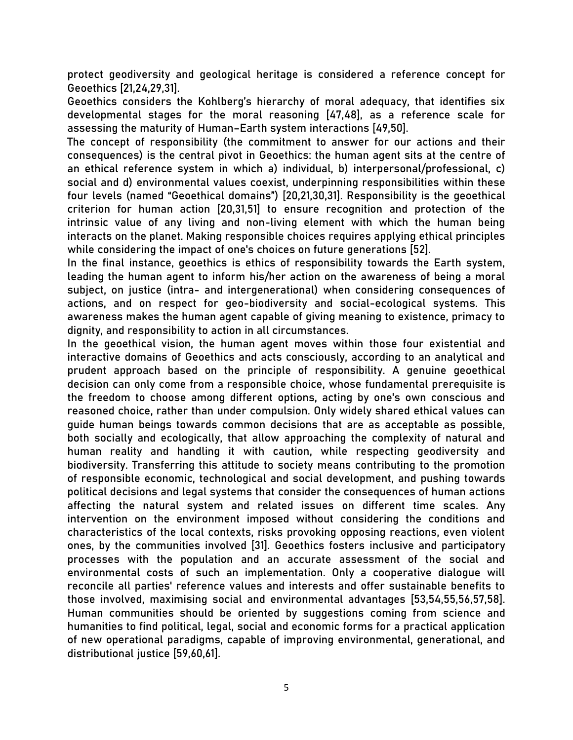protect geodiversity and geological heritage is considered a reference concept for Geoethics [21,24,29,31].

Geoethics considers the Kohlberg's hierarchy of moral adequacy, that identifies six developmental stages for the moral reasoning [47,48], as a reference scale for assessing the maturity of Human–Earth system interactions [49,50].

The concept of responsibility (the commitment to answer for our actions and their consequences) is the central pivot in Geoethics: the human agent sits at the centre of an ethical reference system in which a) individual, b) interpersonal/professional, c) social and d) environmental values coexist, underpinning responsibilities within these four levels (named "Geoethical domains") [20,21,30,31]. Responsibility is the geoethical criterion for human action [20,31,51] to ensure recognition and protection of the intrinsic value of any living and non-living element with which the human being interacts on the planet. Making responsible choices requires applying ethical principles while considering the impact of one's choices on future generations [52].

In the final instance, geoethics is ethics of responsibility towards the Earth system, leading the human agent to inform his/her action on the awareness of being a moral subject, on justice (intra- and intergenerational) when considering consequences of actions, and on respect for geo-biodiversity and social-ecological systems. This awareness makes the human agent capable of giving meaning to existence, primacy to dignity, and responsibility to action in all circumstances.

In the geoethical vision, the human agent moves within those four existential and interactive domains of Geoethics and acts consciously, according to an analytical and prudent approach based on the principle of responsibility. A genuine geoethical decision can only come from a responsible choice, whose fundamental prerequisite is the freedom to choose among different options, acting by one's own conscious and reasoned choice, rather than under compulsion. Only widely shared ethical values can guide human beings towards common decisions that are as acceptable as possible, both socially and ecologically, that allow approaching the complexity of natural and human reality and handling it with caution, while respecting geodiversity and biodiversity. Transferring this attitude to society means contributing to the promotion of responsible economic, technological and social development, and pushing towards political decisions and legal systems that consider the consequences of human actions affecting the natural system and related issues on different time scales. Any intervention on the environment imposed without considering the conditions and characteristics of the local contexts, risks provoking opposing reactions, even violent ones, by the communities involved [31]. Geoethics fosters inclusive and participatory processes with the population and an accurate assessment of the social and environmental costs of such an implementation. Only a cooperative dialogue will reconcile all parties' reference values and interests and offer sustainable benefits to those involved, maximising social and environmental advantages [53,54,55,56,57,58]. Human communities should be oriented by suggestions coming from science and humanities to find political, legal, social and economic forms for a practical application of new operational paradigms, capable of improving environmental, generational, and distributional justice [59,60,61].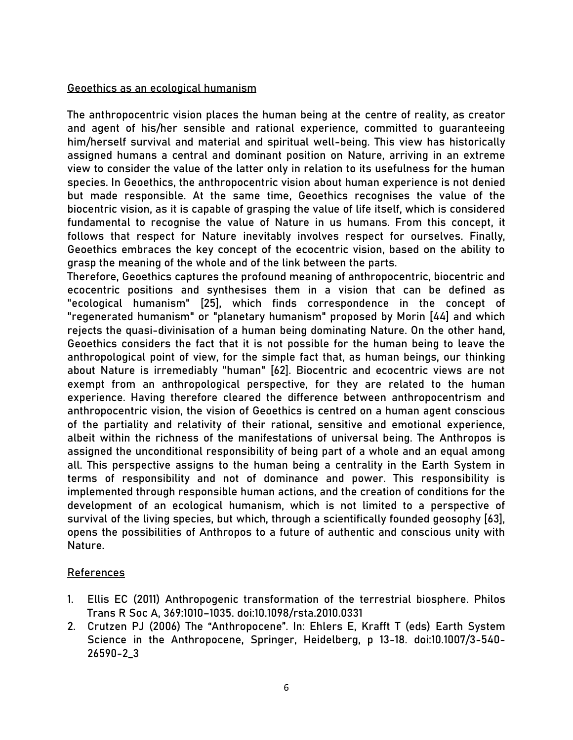## Geoethics as an ecological humanism

The anthropocentric vision places the human being at the centre of reality, as creator and agent of his/her sensible and rational experience, committed to guaranteeing him/herself survival and material and spiritual well-being. This view has historically assigned humans a central and dominant position on Nature, arriving in an extreme view to consider the value of the latter only in relation to its usefulness for the human species. In Geoethics, the anthropocentric vision about human experience is not denied but made responsible. At the same time, Geoethics recognises the value of the biocentric vision, as it is capable of grasping the value of life itself, which is considered fundamental to recognise the value of Nature in us humans. From this concept, it follows that respect for Nature inevitably involves respect for ourselves. Finally, Geoethics embraces the key concept of the ecocentric vision, based on the ability to grasp the meaning of the whole and of the link between the parts.

Therefore, Geoethics captures the profound meaning of anthropocentric, biocentric and ecocentric positions and synthesises them in a vision that can be defined as "ecological humanism" [25], which finds correspondence in the concept of "regenerated humanism" or "planetary humanism" proposed by Morin [44] and which rejects the quasi-divinisation of a human being dominating Nature. On the other hand, Geoethics considers the fact that it is not possible for the human being to leave the anthropological point of view, for the simple fact that, as human beings, our thinking about Nature is irremediably "human" [62]. Biocentric and ecocentric views are not exempt from an anthropological perspective, for they are related to the human experience. Having therefore cleared the difference between anthropocentrism and anthropocentric vision, the vision of Geoethics is centred on a human agent conscious of the partiality and relativity of their rational, sensitive and emotional experience, albeit within the richness of the manifestations of universal being. The Anthropos is assigned the unconditional responsibility of being part of a whole and an equal among all. This perspective assigns to the human being a centrality in the Earth System in terms of responsibility and not of dominance and power. This responsibility is implemented through responsible human actions, and the creation of conditions for the development of an ecological humanism, which is not limited to a perspective of survival of the living species, but which, through a scientifically founded geosophy [63], opens the possibilities of Anthropos to a future of authentic and conscious unity with Nature.

# References

- 1. Ellis EC (2011) Anthropogenic transformation of the terrestrial biosphere. Philos Trans R Soc A, 369:1010–1035. doi:10.1098/rsta.2010.0331
- 2. Crutzen PJ (2006) The "Anthropocene". In: Ehlers E, Krafft T (eds) Earth System Science in the Anthropocene, Springer, Heidelberg, p 13-18. doi:10.1007/3-540- 26590-2\_3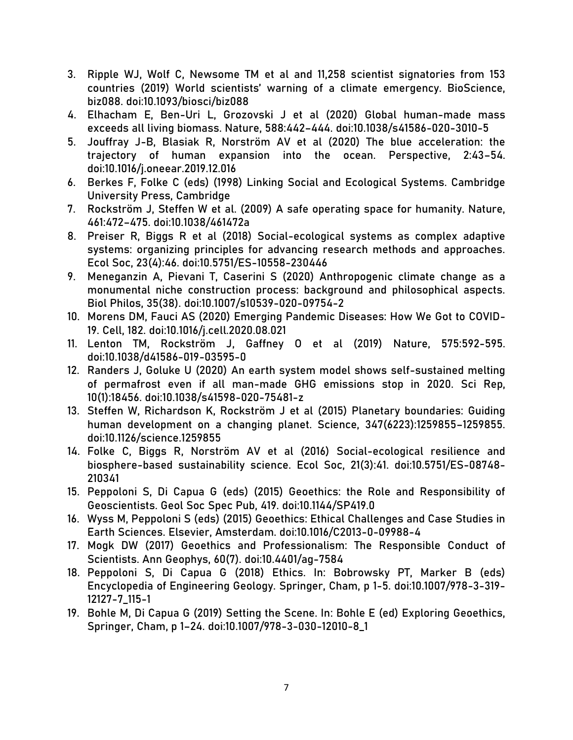- 3. Ripple WJ, Wolf C, Newsome TM et al and 11,258 scientist signatories from 153 countries (2019) World scientists' warning of a climate emergency. BioScience, biz088. doi:10.1093/biosci/biz088
- 4. Elhacham E, Ben-Uri L, Grozovski J et al (2020) Global human-made mass exceeds all living biomass. Nature, 588:442–444. doi:10.1038/s41586-020-3010-5
- 5. Jouffray J-B, Blasiak R, Norström AV et al (2020) The blue acceleration: the trajectory of human expansion into the ocean. Perspective, 2:43–54. doi:10.1016/j.oneear.2019.12.016
- 6. Berkes F, Folke C (eds) (1998) Linking Social and Ecological Systems. Cambridge University Press, Cambridge
- 7. Rockström J, Steffen W et al. (2009) A safe operating space for humanity. Nature, 461:472–475. doi:10.1038/461472a
- 8. Preiser R, Biggs R et al (2018) Social-ecological systems as complex adaptive systems: organizing principles for advancing research methods and approaches. Ecol Soc, 23(4):46. doi:10.5751/ES-10558-230446
- 9. Meneganzin A, Pievani T, Caserini S (2020) Anthropogenic climate change as a monumental niche construction process: background and philosophical aspects. Biol Philos, 35(38). doi:10.1007/s10539-020-09754-2
- 10. Morens DM, Fauci AS (2020) Emerging Pandemic Diseases: How We Got to COVID-19. Cell, 182. doi:10.1016/j.cell.2020.08.021
- 11. Lenton TM, Rockström J, Gaffney O et al (2019) Nature, 575:592-595. doi:10.1038/d41586-019-03595-0
- 12. Randers J, Goluke U (2020) An earth system model shows self-sustained melting of permafrost even if all man-made GHG emissions stop in 2020. Sci Rep, 10(1):18456. doi:10.1038/s41598-020-75481-z
- 13. Steffen W, Richardson K, Rockström J et al (2015) Planetary boundaries: Guiding human development on a changing planet. Science, 347(6223):1259855–1259855. doi:10.1126/science.1259855
- 14. Folke C, Biggs R, Norström AV et al (2016) Social-ecological resilience and biosphere-based sustainability science. Ecol Soc, 21(3):41. doi:10.5751/ES-08748- 210341
- 15. Peppoloni S, Di Capua G (eds) (2015) Geoethics: the Role and Responsibility of Geoscientists. Geol Soc Spec Pub, 419. doi:10.1144/SP419.0
- 16. Wyss M, Peppoloni S (eds) (2015) Geoethics: Ethical Challenges and Case Studies in Earth Sciences. Elsevier, Amsterdam. doi:10.1016/C2013-0-09988-4
- 17. Mogk DW (2017) Geoethics and Professionalism: The Responsible Conduct of Scientists. Ann Geophys, 60(7). doi:10.4401/ag-7584
- 18. Peppoloni S, Di Capua G (2018) Ethics. In: Bobrowsky PT, Marker B (eds) Encyclopedia of Engineering Geology. Springer, Cham, p 1-5. doi:10.1007/978-3-319- 12127-7\_115-1
- 19. Bohle M, Di Capua G (2019) Setting the Scene. In: Bohle E (ed) Exploring Geoethics, Springer, Cham, p 1–24. doi:10.1007/978-3-030-12010-8\_1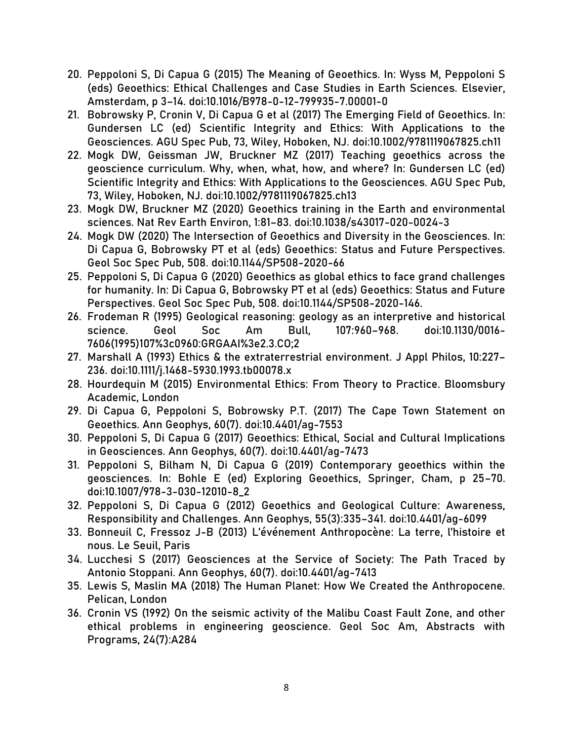- 20. Peppoloni S, Di Capua G (2015) The Meaning of Geoethics. In: Wyss M, Peppoloni S (eds) Geoethics: Ethical Challenges and Case Studies in Earth Sciences. Elsevier, Amsterdam, p 3–14. doi:10.1016/B978-0-12-799935-7.00001-0
- 21. Bobrowsky P, Cronin V, Di Capua G et al (2017) The Emerging Field of Geoethics. In: Gundersen LC (ed) Scientific Integrity and Ethics: With Applications to the Geosciences. AGU Spec Pub, 73, Wiley, Hoboken, NJ. doi:10.1002/9781119067825.ch11
- 22. Mogk DW, Geissman JW, Bruckner MZ (2017) Teaching geoethics across the geoscience curriculum. Why, when, what, how, and where? In: Gundersen LC (ed) Scientific Integrity and Ethics: With Applications to the Geosciences. AGU Spec Pub, 73, Wiley, Hoboken, NJ. doi:10.1002/9781119067825.ch13
- 23. Mogk DW, Bruckner MZ (2020) Geoethics training in the Earth and environmental sciences. Nat Rev Earth Environ, 1:81–83. doi:10.1038/s43017-020-0024-3
- 24. Mogk DW (2020) The Intersection of Geoethics and Diversity in the Geosciences. In: Di Capua G, Bobrowsky PT et al (eds) Geoethics: Status and Future Perspectives. Geol Soc Spec Pub, 508. doi:10.1144/SP508-2020-66
- 25. Peppoloni S, Di Capua G (2020) Geoethics as global ethics to face grand challenges for humanity. In: Di Capua G, Bobrowsky PT et al (eds) Geoethics: Status and Future Perspectives. Geol Soc Spec Pub, 508. doi:10.1144/SP508-2020-146.
- 26. Frodeman R (1995) Geological reasoning: geology as an interpretive and historical science. Geol Soc Am Bull, 107:960–968. doi:10.1130/0016- 7606(1995)107%3c0960:GRGAAI%3e2.3.CO;2
- 27. Marshall A (1993) Ethics & the extraterrestrial environment. J Appl Philos, 10:227– 236. doi:10.1111/j.1468-5930.1993.tb00078.x
- 28. Hourdequin M (2015) Environmental Ethics: From Theory to Practice. Bloomsbury Academic, London
- 29. Di Capua G, Peppoloni S, Bobrowsky P.T. (2017) The Cape Town Statement on Geoethics. Ann Geophys, 60(7). doi:10.4401/ag-7553
- 30. Peppoloni S, Di Capua G (2017) Geoethics: Ethical, Social and Cultural Implications in Geosciences. Ann Geophys, 60(7). doi:10.4401/ag-7473
- 31. Peppoloni S, Bilham N, Di Capua G (2019) Contemporary geoethics within the geosciences. In: Bohle E (ed) Exploring Geoethics, Springer, Cham, p 25–70. doi:10.1007/978-3-030-12010-8\_2
- 32. Peppoloni S, Di Capua G (2012) Geoethics and Geological Culture: Awareness, Responsibility and Challenges. Ann Geophys, 55(3):335–341. doi:10.4401/ag-6099
- 33. Bonneuil C, Fressoz J-B (2013) L'événement Anthropocène: La terre, l'histoire et nous. Le Seuil, Paris
- 34. Lucchesi S (2017) Geosciences at the Service of Society: The Path Traced by Antonio Stoppani. Ann Geophys, 60(7). doi:10.4401/ag-7413
- 35. Lewis S, Maslin MA (2018) The Human Planet: How We Created the Anthropocene. Pelican, London
- 36. Cronin VS (1992) On the seismic activity of the Malibu Coast Fault Zone, and other ethical problems in engineering geoscience. Geol Soc Am, Abstracts with Programs, 24(7):A284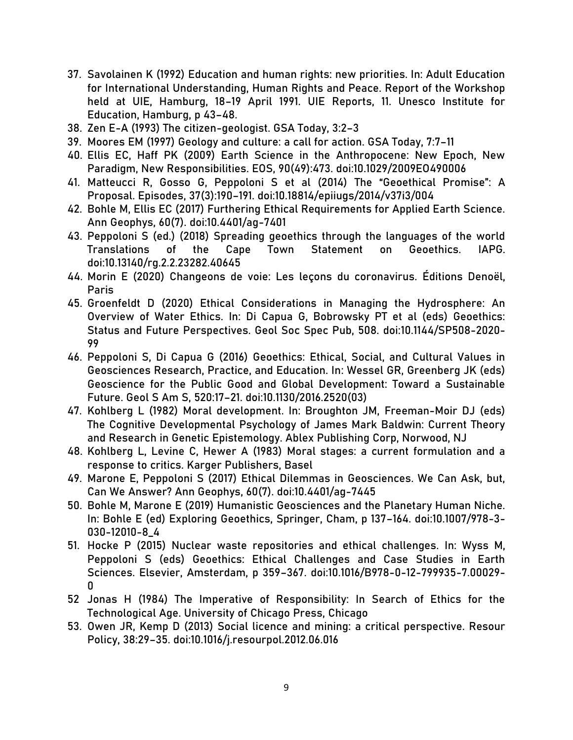- 37. Savolainen K (1992) Education and human rights: new priorities. In: Adult Education for International Understanding, Human Rights and Peace. Report of the Workshop held at UIE, Hamburg, 18–19 April 1991. UIE Reports, 11. Unesco Institute for Education, Hamburg, p 43–48.
- 38. Zen E-A (1993) The citizen-geologist. GSA Today, 3:2–3
- 39. Moores EM (1997) Geology and culture: a call for action. GSA Today, 7:7–11
- 40. Ellis EC, Haff PK (2009) Earth Science in the Anthropocene: New Epoch, New Paradigm, New Responsibilities. EOS, 90(49):473. doi:10.1029/2009EO490006
- 41. Matteucci R, Gosso G, Peppoloni S et al (2014) The "Geoethical Promise": A Proposal. Episodes, 37(3):190–191. doi:10.18814/epiiugs/2014/v37i3/004
- 42. Bohle M, Ellis EC (2017) Furthering Ethical Requirements for Applied Earth Science. Ann Geophys, 60(7). doi:10.4401/ag-7401
- 43. Peppoloni S (ed.) (2018) Spreading geoethics through the languages of the world Translations of the Cape Town Statement on Geoethics. IAPG. doi:10.13140/rg.2.2.23282.40645
- 44. Morin E (2020) Changeons de voie: Les leçons du coronavirus. Éditions Denoël, Paris
- 45. Groenfeldt D (2020) Ethical Considerations in Managing the Hydrosphere: An Overview of Water Ethics. In: Di Capua G, Bobrowsky PT et al (eds) Geoethics: Status and Future Perspectives. Geol Soc Spec Pub, 508. doi:10.1144/SP508-2020- 99
- 46. Peppoloni S, Di Capua G (2016) Geoethics: Ethical, Social, and Cultural Values in Geosciences Research, Practice, and Education. In: Wessel GR, Greenberg JK (eds) Geoscience for the Public Good and Global Development: Toward a Sustainable Future. Geol S Am S, 520:17–21. doi:10.1130/2016.2520(03)
- 47. Kohlberg L (1982) Moral development. In: Broughton JM, Freeman-Moir DJ (eds) The Cognitive Developmental Psychology of James Mark Baldwin: Current Theory and Research in Genetic Epistemology. Ablex Publishing Corp, Norwood, NJ
- 48. Kohlberg L, Levine C, Hewer A (1983) Moral stages: a current formulation and a response to critics. Karger Publishers, Basel
- 49. Marone E, Peppoloni S (2017) Ethical Dilemmas in Geosciences. We Can Ask, but, Can We Answer? Ann Geophys, 60(7). doi:10.4401/ag-7445
- 50. Bohle M, Marone E (2019) Humanistic Geosciences and the Planetary Human Niche. In: Bohle E (ed) Exploring Geoethics, Springer, Cham, p 137–164. doi:10.1007/978-3- 030-12010-8\_4
- 51. Hocke P (2015) Nuclear waste repositories and ethical challenges. In: Wyss M, Peppoloni S (eds) Geoethics: Ethical Challenges and Case Studies in Earth Sciences. Elsevier, Amsterdam, p 359–367. doi:10.1016/B978-0-12-799935-7.00029- 0
- 52 Jonas H (1984) The Imperative of Responsibility: In Search of Ethics for the Technological Age. University of Chicago Press, Chicago
- 53. Owen JR, Kemp D (2013) Social licence and mining: a critical perspective. Resour Policy, 38:29–35. doi:10.1016/j.resourpol.2012.06.016